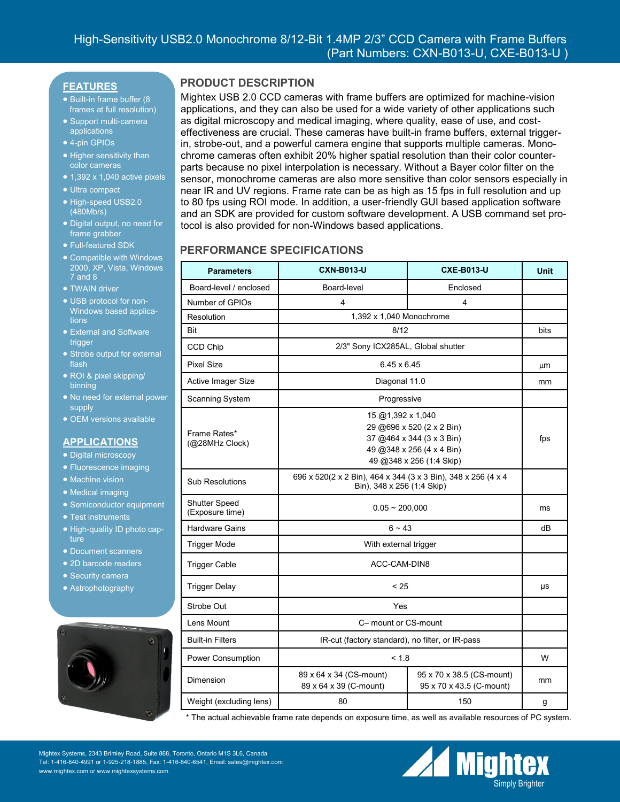### **FEATURES**

- Built-in frame buffer (8) frames at full resolution)
- Support multi-camera applications
- 4-pin GPIOs
- Higher sensitivity than color cameras
- $\bullet$  1,392 x 1,040 active pixels
- Ultra compact
- High-speed USB2.0 (480Mb/s)
- Digital output, no need for frame grabber
- Full-featured SDK
- Compatible with Windows 2000, XP, Vista, Windows 7 and 8
- **TWAIN driver**
- USB protocol for non-Windows based applications
- External and Software trigger
- Strobe output for external flash
- ROI & pixel skipping/ binning
- No need for external power supply
- OEM versions available

#### **APPLICATIONS**

- Digital microscopy
- Fluorescence imaging
- Machine vision
- Medical imaging
- Semiconductor equipment
- Test instruments
- High-quality ID photo capture
- Document scanners
- 2D barcode readers
- Security camera
- Astrophotography



## **PRODUCT DESCRIPTION**

Mightex USB 2.0 CCD cameras with frame buffers are optimized for machine-vision applications, and they can also be used for a wide variety of other applications such as digital microscopy and medical imaging, where quality, ease of use, and costeffectiveness are crucial. These cameras have built-in frame buffers, external triggerin, strobe-out, and a powerful camera engine that supports multiple cameras. Monochrome cameras often exhibit 20% higher spatial resolution than their color counterparts because no pixel interpolation is necessary. Without a Bayer color filter on the sensor, monochrome cameras are also more sensitive than color sensors especially in near IR and UV regions. Frame rate can be as high as 15 fps in full resolution and up to 80 fps using ROI mode. In addition, a user-friendly GUI based application software and an SDK are provided for custom software development. A USB command set protocol is also provided for non-Windows based applications.

## **PERFORMANCE SPECIFICATIONS**

| <b>Parameters</b>                       | <b>CXN-B013-U</b>                                                                                                                    | <b>CXE-B013-U</b>                                     | <b>Unit</b> |
|-----------------------------------------|--------------------------------------------------------------------------------------------------------------------------------------|-------------------------------------------------------|-------------|
| Board-level / enclosed                  | Board-level                                                                                                                          | Enclosed                                              |             |
| Number of GPIOs                         | 4                                                                                                                                    | 4                                                     |             |
| Resolution                              | 1,392 x 1,040 Monochrome                                                                                                             |                                                       |             |
| Bit                                     | 8/12                                                                                                                                 |                                                       | bits        |
| CCD Chip                                | 2/3" Sony ICX285AL, Global shutter                                                                                                   |                                                       |             |
| <b>Pixel Size</b>                       | 6.45 x 6.45                                                                                                                          |                                                       | μm          |
| Active Imager Size                      | Diagonal 11.0                                                                                                                        |                                                       | mm          |
| Scanning System                         | Progressive                                                                                                                          |                                                       |             |
| Frame Rates*<br>(@28MHz Clock)          | 15 @1,392 x 1,040<br>29 @696 x 520 (2 x 2 Bin)<br>37 @464 x 344 (3 x 3 Bin)<br>49 @348 x 256 (4 x 4 Bin)<br>49 @348 x 256 (1:4 Skip) |                                                       | fps         |
| <b>Sub Resolutions</b>                  | 696 x 520(2 x 2 Bin), 464 x 344 (3 x 3 Bin), 348 x 256 (4 x 4<br>Bin), 348 x 256 (1:4 Skip)                                          |                                                       |             |
| <b>Shutter Speed</b><br>(Exposure time) | $0.05 - 200,000$                                                                                                                     |                                                       | ms          |
| <b>Hardware Gains</b>                   | $6 - 43$                                                                                                                             |                                                       | dB          |
| <b>Trigger Mode</b>                     | With external trigger                                                                                                                |                                                       |             |
| <b>Trigger Cable</b>                    | ACC-CAM-DIN8                                                                                                                         |                                                       |             |
| <b>Trigger Delay</b>                    | < 25                                                                                                                                 |                                                       | μs          |
| Strobe Out                              | Yes                                                                                                                                  |                                                       |             |
| Lens Mount                              | C- mount or CS-mount                                                                                                                 |                                                       |             |
| <b>Built-in Filters</b>                 | IR-cut (factory standard), no filter, or IR-pass                                                                                     |                                                       |             |
| Power Consumption                       | < 1.8                                                                                                                                |                                                       | W           |
| Dimension                               | 89 x 64 x 34 (CS-mount)<br>89 x 64 x 39 (C-mount)                                                                                    | 95 x 70 x 38.5 (CS-mount)<br>95 x 70 x 43.5 (C-mount) | mm          |
| Weight (excluding lens)                 | 80                                                                                                                                   | 150                                                   | g           |

\* The actual achievable frame rate depends on exposure time, as well as available resources of PC system.

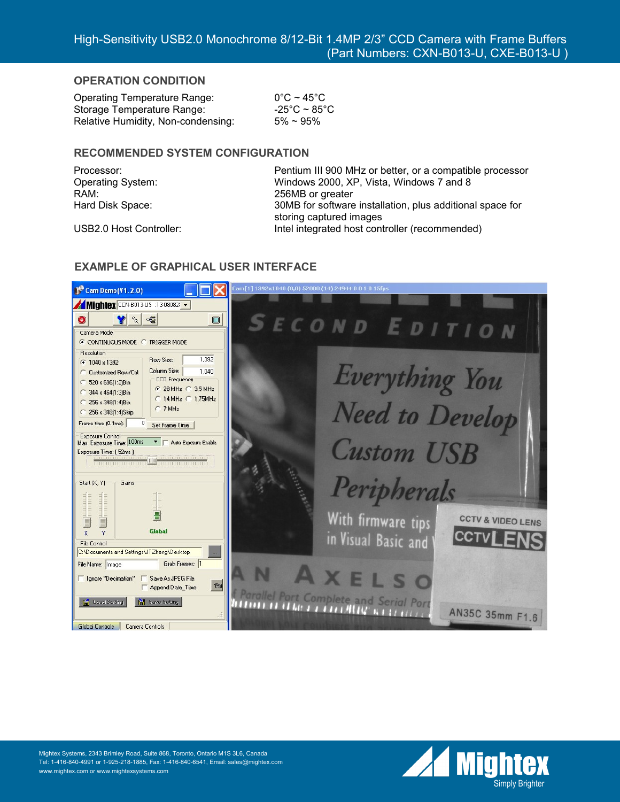### **OPERATION CONDITION**

Operating Temperature Range: 0°C ~ 45°C Storage Temperature Range:  $-25^{\circ}$ C ~ 85 $^{\circ}$ C Relative Humidity, Non-condensing:  $5\% \sim 95\%$ 

### **RECOMMENDED SYSTEM CONFIGURATION**

RAM: 256MB or greater

Processor: Pentium III 900 MHz or better, or a compatible processor Operating System: Windows 2000, XP, Vista, Windows 7 and 8 Hard Disk Space: 30MB for software installation, plus additional space for storing captured images USB2.0 Host Controller: Intel integrated host controller (recommended)



## **EXAMPLE OF GRAPHICAL USER INTERFACE**

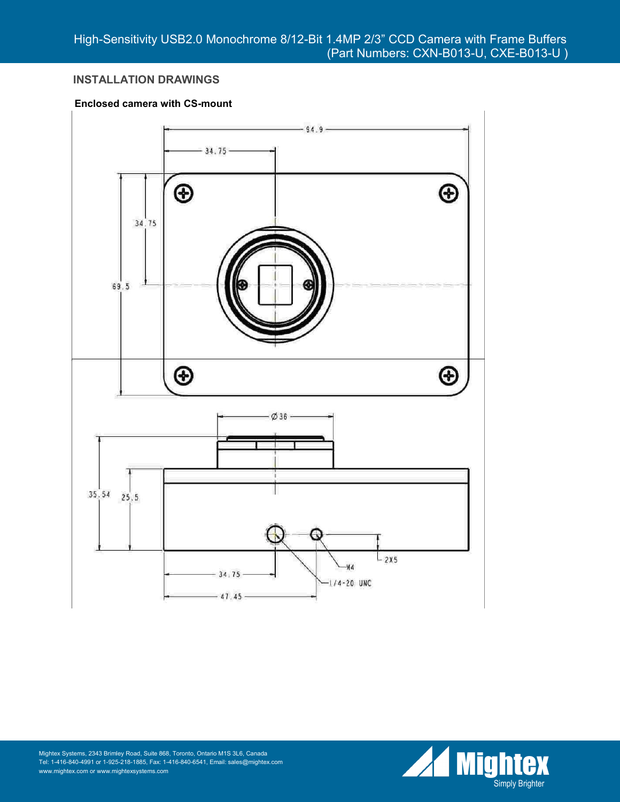# **INSTALLATION DRAWINGS**

### **Enclosed camera with CS-mount**